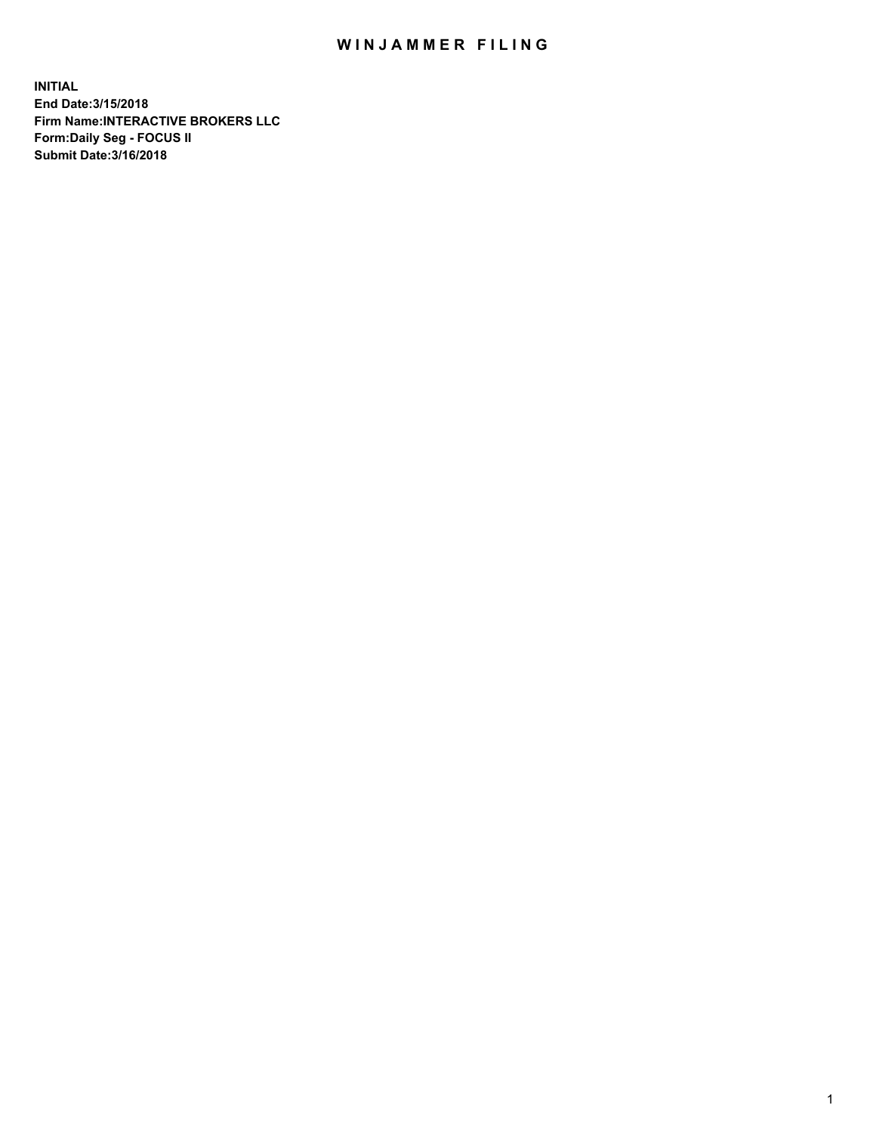## WIN JAMMER FILING

**INITIAL End Date:3/15/2018 Firm Name:INTERACTIVE BROKERS LLC Form:Daily Seg - FOCUS II Submit Date:3/16/2018**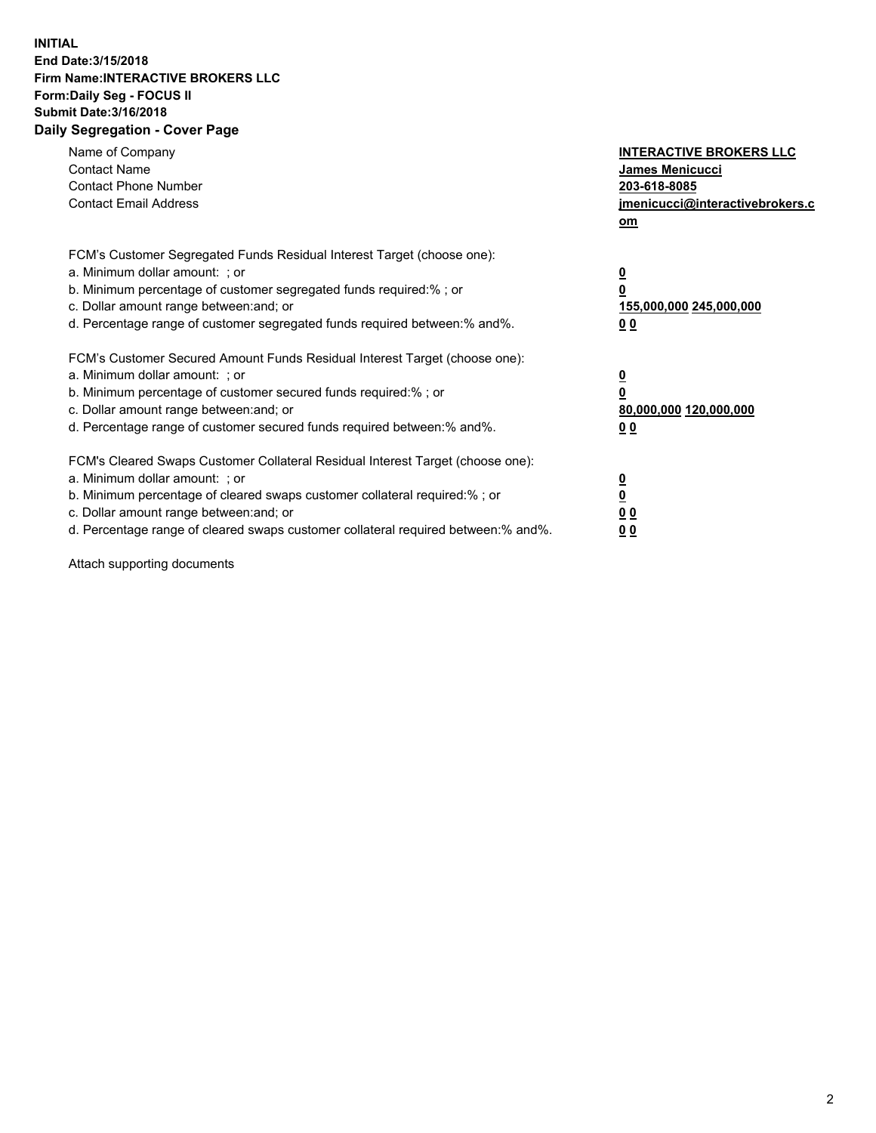## **INITIAL End Date:3/15/2018 Firm Name:INTERACTIVE BROKERS LLC Form:Daily Seg - FOCUS II Submit Date:3/16/2018 Daily Segregation - Cover Page**

| Name of Company<br><b>Contact Name</b><br><b>Contact Phone Number</b>                                                                                                                                                                                                                                                          | <b>INTERACTIVE BROKERS LLC</b><br><b>James Menicucci</b><br>203-618-8085                        |
|--------------------------------------------------------------------------------------------------------------------------------------------------------------------------------------------------------------------------------------------------------------------------------------------------------------------------------|-------------------------------------------------------------------------------------------------|
| <b>Contact Email Address</b>                                                                                                                                                                                                                                                                                                   | jmenicucci@interactivebrokers.c<br>om                                                           |
| FCM's Customer Segregated Funds Residual Interest Target (choose one):<br>a. Minimum dollar amount: ; or<br>b. Minimum percentage of customer segregated funds required:% ; or<br>c. Dollar amount range between: and; or<br>d. Percentage range of customer segregated funds required between:% and%.                         | $\overline{\mathbf{0}}$<br>$\overline{\mathbf{0}}$<br>155,000,000 245,000,000<br>0 <sub>0</sub> |
| FCM's Customer Secured Amount Funds Residual Interest Target (choose one):<br>a. Minimum dollar amount: ; or<br>b. Minimum percentage of customer secured funds required:%; or<br>c. Dollar amount range between: and; or<br>d. Percentage range of customer secured funds required between: % and %.                          | $\overline{\mathbf{0}}$<br>$\overline{\mathbf{0}}$<br>80,000,000 120,000,000<br>0 <sub>0</sub>  |
| FCM's Cleared Swaps Customer Collateral Residual Interest Target (choose one):<br>a. Minimum dollar amount: ; or<br>b. Minimum percentage of cleared swaps customer collateral required:% ; or<br>c. Dollar amount range between: and; or<br>d. Percentage range of cleared swaps customer collateral required between:% and%. | $\overline{\mathbf{0}}$<br>$\underline{\mathbf{0}}$<br>0 <sub>0</sub><br>0 <sup>0</sup>         |

Attach supporting documents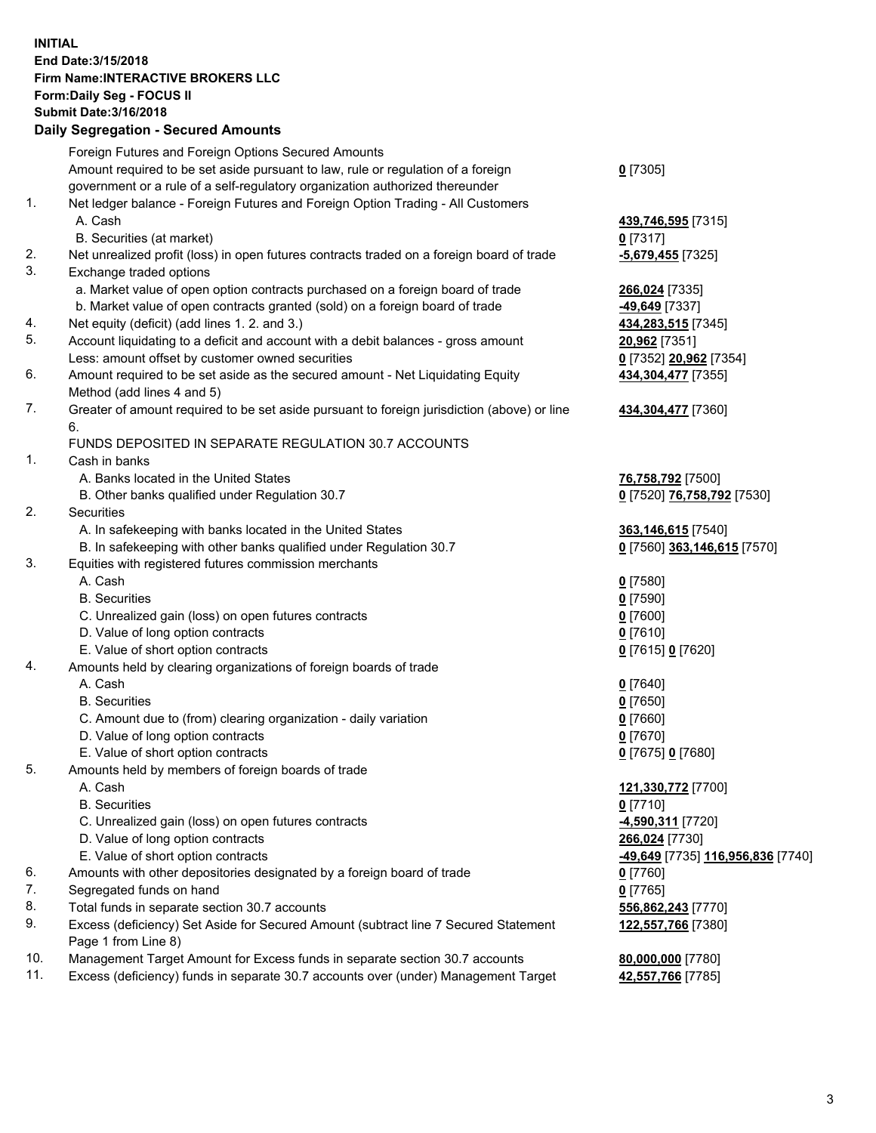## **INITIAL End Date:3/15/2018 Firm Name:INTERACTIVE BROKERS LLC Form:Daily Seg - FOCUS II Submit Date:3/16/2018 Daily Segregation - Secured Amounts**

|     | Daily Segregation - Secured Amounts                                                                        |                                   |
|-----|------------------------------------------------------------------------------------------------------------|-----------------------------------|
|     | Foreign Futures and Foreign Options Secured Amounts                                                        |                                   |
|     | Amount required to be set aside pursuant to law, rule or regulation of a foreign                           | $0$ [7305]                        |
|     | government or a rule of a self-regulatory organization authorized thereunder                               |                                   |
| 1.  | Net ledger balance - Foreign Futures and Foreign Option Trading - All Customers                            |                                   |
|     | A. Cash                                                                                                    | 439,746,595 [7315]                |
|     | B. Securities (at market)                                                                                  | $0$ [7317]                        |
| 2.  | Net unrealized profit (loss) in open futures contracts traded on a foreign board of trade                  | $-5,679,455$ [7325]               |
| 3.  | Exchange traded options                                                                                    |                                   |
|     | a. Market value of open option contracts purchased on a foreign board of trade                             | 266,024 [7335]                    |
|     | b. Market value of open contracts granted (sold) on a foreign board of trade                               | -49,649 [7337]                    |
| 4.  | Net equity (deficit) (add lines 1.2. and 3.)                                                               | 434,283,515 [7345]                |
| 5.  | Account liquidating to a deficit and account with a debit balances - gross amount                          | 20,962 [7351]                     |
|     | Less: amount offset by customer owned securities                                                           | 0 [7352] 20,962 [7354]            |
| 6.  | Amount required to be set aside as the secured amount - Net Liquidating Equity                             | 434,304,477 [7355]                |
|     | Method (add lines 4 and 5)                                                                                 |                                   |
| 7.  | Greater of amount required to be set aside pursuant to foreign jurisdiction (above) or line                | 434,304,477 [7360]                |
|     | 6.                                                                                                         |                                   |
|     | FUNDS DEPOSITED IN SEPARATE REGULATION 30.7 ACCOUNTS                                                       |                                   |
| 1.  | Cash in banks                                                                                              |                                   |
|     | A. Banks located in the United States                                                                      | 76,758,792 [7500]                 |
|     | B. Other banks qualified under Regulation 30.7                                                             | 0 [7520] 76,758,792 [7530]        |
| 2.  | Securities                                                                                                 |                                   |
|     | A. In safekeeping with banks located in the United States                                                  | 363,146,615 [7540]                |
|     | B. In safekeeping with other banks qualified under Regulation 30.7                                         | 0 [7560] 363,146,615 [7570]       |
| 3.  | Equities with registered futures commission merchants                                                      |                                   |
|     | A. Cash                                                                                                    | $0$ [7580]                        |
|     | <b>B.</b> Securities                                                                                       | $0$ [7590]                        |
|     | C. Unrealized gain (loss) on open futures contracts                                                        | $0$ [7600]                        |
|     | D. Value of long option contracts                                                                          | $0$ [7610]                        |
|     | E. Value of short option contracts                                                                         | 0 [7615] 0 [7620]                 |
| 4.  | Amounts held by clearing organizations of foreign boards of trade                                          |                                   |
|     | A. Cash                                                                                                    | $0$ [7640]                        |
|     | <b>B.</b> Securities                                                                                       | $0$ [7650]                        |
|     | C. Amount due to (from) clearing organization - daily variation                                            | $0$ [7660]                        |
|     | D. Value of long option contracts                                                                          | $0$ [7670]                        |
|     | E. Value of short option contracts                                                                         | 0 [7675] 0 [7680]                 |
| 5.  | Amounts held by members of foreign boards of trade                                                         |                                   |
|     | A. Cash                                                                                                    | 121,330,772 [7700]                |
|     | <b>B.</b> Securities                                                                                       | $0$ [7710]                        |
|     | C. Unrealized gain (loss) on open futures contracts                                                        | <u>-4,590,311</u> [7720]          |
|     | D. Value of long option contracts                                                                          | 266,024 [7730]                    |
|     | E. Value of short option contracts                                                                         | -49,649 [7735] 116,956,836 [7740] |
| 6.  | Amounts with other depositories designated by a foreign board of trade                                     | $0$ [7760]                        |
| 7.  | Segregated funds on hand                                                                                   | $0$ [7765]                        |
| 8.  | Total funds in separate section 30.7 accounts                                                              | 556,862,243 [7770]                |
| 9.  | Excess (deficiency) Set Aside for Secured Amount (subtract line 7 Secured Statement<br>Page 1 from Line 8) | 122,557,766 [7380]                |
| 10. | Management Target Amount for Excess funds in separate section 30.7 accounts                                | 80,000,000 [7780]                 |
| 11. | Excess (deficiency) funds in separate 30.7 accounts over (under) Management Target                         | 42,557,766 [7785]                 |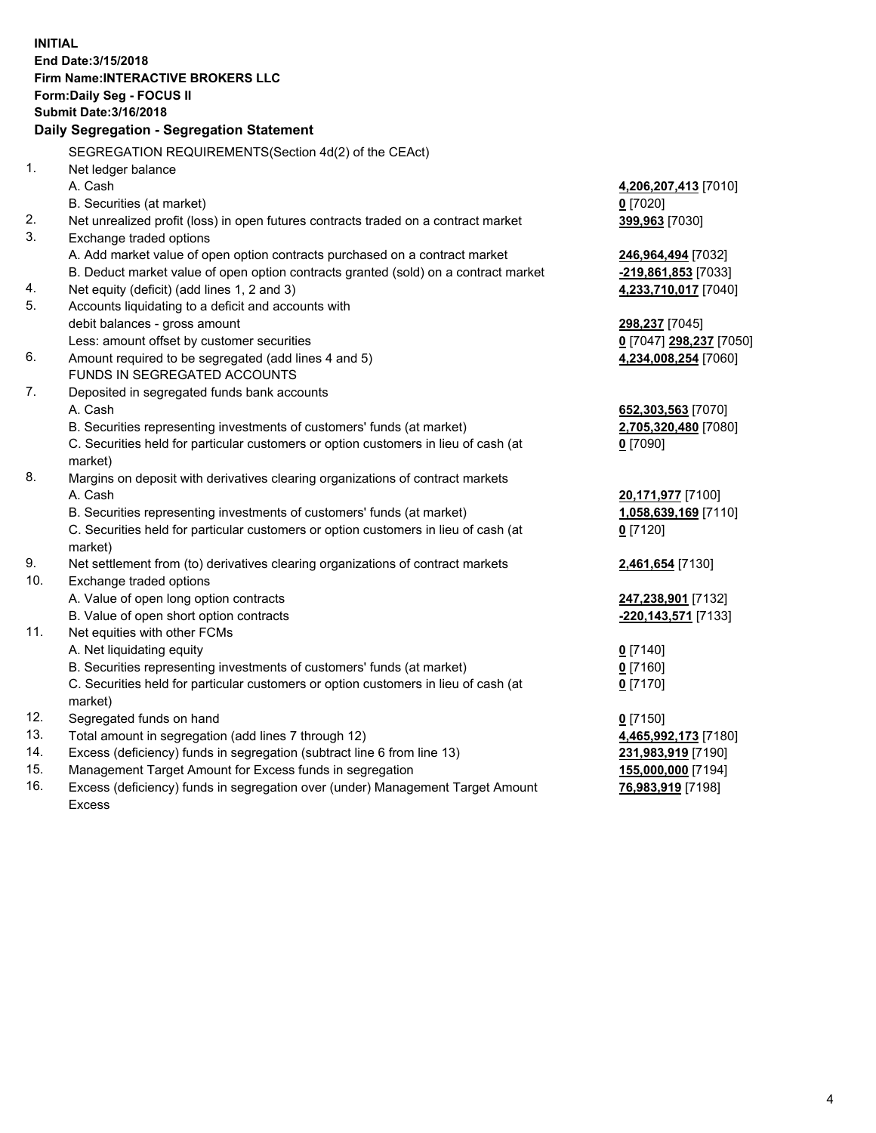**INITIAL End Date:3/15/2018 Firm Name:INTERACTIVE BROKERS LLC Form:Daily Seg - FOCUS II Submit Date:3/16/2018 Daily Segregation - Segregation Statement** SEGREGATION REQUIREMENTS(Section 4d(2) of the CEAct) 1. Net ledger balance A. Cash **4,206,207,413** [7010] B. Securities (at market) **0** [7020] 2. Net unrealized profit (loss) in open futures contracts traded on a contract market **399,963** [7030] 3. Exchange traded options A. Add market value of open option contracts purchased on a contract market **246,964,494** [7032] B. Deduct market value of open option contracts granted (sold) on a contract market **-219,861,853** [7033] 4. Net equity (deficit) (add lines 1, 2 and 3) **4,233,710,017** [7040] 5. Accounts liquidating to a deficit and accounts with debit balances - gross amount **298,237** [7045] Less: amount offset by customer securities **0** [7047] **298,237** [7050] 6. Amount required to be segregated (add lines 4 and 5) **4,234,008,254** [7060] FUNDS IN SEGREGATED ACCOUNTS 7. Deposited in segregated funds bank accounts A. Cash **652,303,563** [7070] B. Securities representing investments of customers' funds (at market) **2,705,320,480** [7080] C. Securities held for particular customers or option customers in lieu of cash (at market) **0** [7090] 8. Margins on deposit with derivatives clearing organizations of contract markets A. Cash **20,171,977** [7100] B. Securities representing investments of customers' funds (at market) **1,058,639,169** [7110] C. Securities held for particular customers or option customers in lieu of cash (at market) **0** [7120] 9. Net settlement from (to) derivatives clearing organizations of contract markets **2,461,654** [7130] 10. Exchange traded options A. Value of open long option contracts **247,238,901** [7132] B. Value of open short option contracts **-220,143,571** [7133] 11. Net equities with other FCMs A. Net liquidating equity **0** [7140] B. Securities representing investments of customers' funds (at market) **0** [7160] C. Securities held for particular customers or option customers in lieu of cash (at market) **0** [7170] 12. Segregated funds on hand **0** [7150] 13. Total amount in segregation (add lines 7 through 12) **4,465,992,173** [7180] 14. Excess (deficiency) funds in segregation (subtract line 6 from line 13) **231,983,919** [7190] 15. Management Target Amount for Excess funds in segregation **155,000,000** [7194]

16. Excess (deficiency) funds in segregation over (under) Management Target Amount Excess

**76,983,919** [7198]